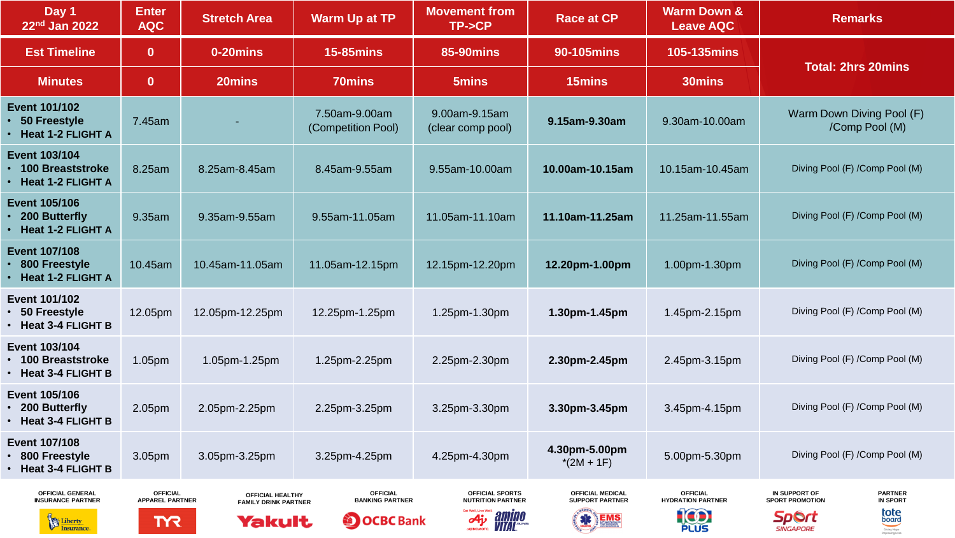| Day 1<br>22nd Jan 2022                                                             | <b>Enter</b><br><b>AQC</b>                              | <b>Stretch Area</b>                                       | <b>Warm Up at TP</b>                                           | <b>Movement from</b><br>TP->CP                                               | <b>Race at CP</b>                                                  | <b>Warm Down &amp;</b><br><b>Leave AQC</b>                | <b>Remarks</b>                                                                                                                                   |
|------------------------------------------------------------------------------------|---------------------------------------------------------|-----------------------------------------------------------|----------------------------------------------------------------|------------------------------------------------------------------------------|--------------------------------------------------------------------|-----------------------------------------------------------|--------------------------------------------------------------------------------------------------------------------------------------------------|
| <b>Est Timeline</b>                                                                | $\bf{0}$                                                | 0-20mins                                                  | <b>15-85mins</b>                                               | <b>85-90mins</b>                                                             | <b>90-105mins</b>                                                  | <b>105-135mins</b>                                        | <b>Total: 2hrs 20mins</b>                                                                                                                        |
| <b>Minutes</b>                                                                     | $\bf{0}$                                                | 20mins                                                    | <b>70mins</b>                                                  | 5mins                                                                        | 15mins                                                             | 30mins                                                    |                                                                                                                                                  |
| <b>Event 101/102</b><br>• 50 Freestyle<br>$\cdot$ Heat 1-2 FLIGHT A                | 7.45am                                                  |                                                           | 7.50am-9.00am<br>(Competition Pool)                            | 9.00am-9.15am<br>(clear comp pool)                                           | 9.15am-9.30am                                                      | 9.30am-10.00am                                            | Warm Down Diving Pool (F)<br>/Comp Pool (M)                                                                                                      |
| <b>Event 103/104</b><br>• 100 Breaststroke<br>• Heat 1-2 FLIGHT A                  | 8.25am                                                  | 8.25am-8.45am                                             | 8.45am-9.55am                                                  | 9.55am-10.00am                                                               | 10.00am-10.15am                                                    | 10.15am-10.45am                                           | Diving Pool (F) / Comp Pool (M)                                                                                                                  |
| <b>Event 105/106</b><br>• 200 Butterfly<br>• Heat 1-2 FLIGHT A                     | 9.35am                                                  | 9.35am-9.55am                                             | 9.55am-11.05am                                                 | 11.05am-11.10am                                                              | 11.10am-11.25am                                                    | 11.25am-11.55am                                           | Diving Pool (F) /Comp Pool (M)                                                                                                                   |
| <b>Event 107/108</b><br>• 800 Freestyle<br>• Heat 1-2 FLIGHT A                     | 10.45am                                                 | 10.45am-11.05am                                           | 11.05am-12.15pm                                                | 12.15pm-12.20pm                                                              | 12.20pm-1.00pm                                                     | 1.00pm-1.30pm                                             | Diving Pool (F) /Comp Pool (M)                                                                                                                   |
| <b>Event 101/102</b><br>• 50 Freestyle<br>• Heat 3-4 FLIGHT B                      | 12.05pm                                                 | 12.05pm-12.25pm                                           | 12.25pm-1.25pm                                                 | 1.25pm-1.30pm                                                                | 1.30pm-1.45pm                                                      | 1.45pm-2.15pm                                             | Diving Pool (F) /Comp Pool (M)                                                                                                                   |
| <b>Event 103/104</b><br><b>100 Breaststroke</b><br>• Heat 3-4 FLIGHT B             | 1.05pm                                                  | 1.05pm-1.25pm                                             | 1.25pm-2.25pm                                                  | 2.25pm-2.30pm                                                                | 2.30pm-2.45pm                                                      | 2.45pm-3.15pm                                             | Diving Pool (F) /Comp Pool (M)                                                                                                                   |
| <b>Event 105/106</b><br>200 Butterfly<br>• Heat 3-4 FLIGHT B                       | 2.05pm                                                  | 2.05pm-2.25pm                                             | 2.25pm-3.25pm                                                  | 3.25pm-3.30pm                                                                | 3.30pm-3.45pm                                                      | 3.45pm-4.15pm                                             | Diving Pool (F) /Comp Pool (M)                                                                                                                   |
| <b>Event 107/108</b><br>800 Freestyle<br>• Heat 3-4 FLIGHT B                       | 3.05pm                                                  | 3.05pm-3.25pm                                             | 3.25pm-4.25pm                                                  | 4.25pm-4.30pm                                                                | 4.30pm-5.00pm<br>$*(2M + 1F)$                                      | 5.00pm-5.30pm                                             | Diving Pool (F) / Comp Pool (M)                                                                                                                  |
| <b>OFFICIAL GENERAL</b><br><b>INSURANCE PARTNER</b><br>Liberty<br><b>Insurance</b> | <b>OFFICIAL</b><br><b>APPAREL PARTNER</b><br><b>TYR</b> | OFFICIAL HEALTHY<br><b>FAMILY DRINK PARTNER</b><br>Yakult | <b>OFFICIAL</b><br><b>BANKING PARTNER</b><br><b>DOCBC Bank</b> | <b>OFFICIAL SPORTS</b><br><b>NUTRITION PARTNER</b><br>A <sub>j</sub> , amino | <b>OFFICIAL MEDICAL</b><br><b>SUPPORT PARTNER</b><br><b>SK EMS</b> | <b>OFFICIAL</b><br><b>HYDRATION PARTNER</b><br><b>IOD</b> | IN SUPPORT OF<br><b>PARTNER</b><br><b>SPORT PROMOTION</b><br><b>IN SPORT</b><br>tote<br>board<br><b>Sport</b><br>Giving Hope<br><b>SINGAPORE</b> |